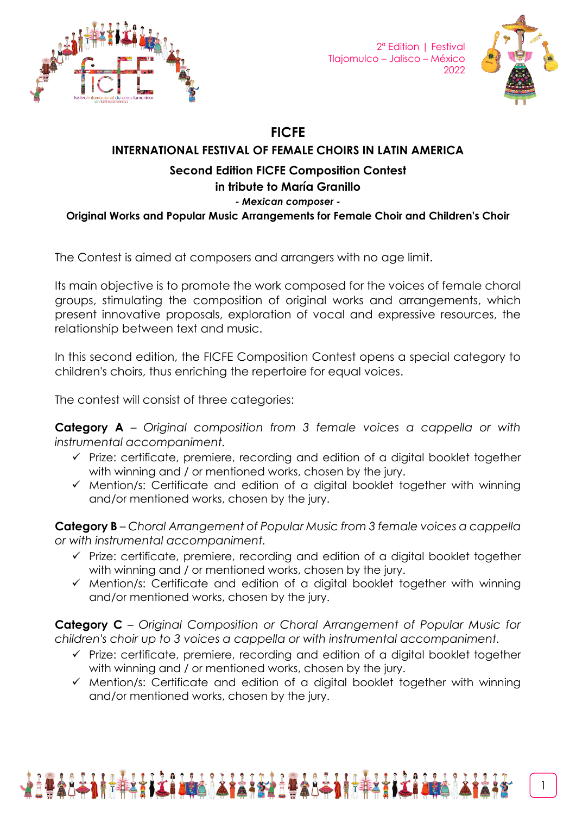

2ª Edition | Festival Tlajomulco – Jalisco – México 2022



## **FICFE**

## **INTERNATIONAL FESTIVAL OF FEMALE CHOIRS IN LATIN AMERICA**

## **Second Edition FICFE Composition Contest**

## **in tribute to María Granillo**

#### *- Mexican composer -*

**Original Works and Popular Music Arrangements for Female Choir and Children's Choir**

The Contest is aimed at composers and arrangers with no age limit.

Its main objective is to promote the work composed for the voices of female choral groups, stimulating the composition of original works and arrangements, which present innovative proposals, exploration of vocal and expressive resources, the relationship between text and music.

In this second edition, the FICFE Composition Contest opens a special category to children's choirs, thus enriching the repertoire for equal voices.

The contest will consist of three categories:

**Category A** – *Original composition from 3 female voices a cappella or with instrumental accompaniment.*

- ✓ Prize: certificate, premiere, recording and edition of a digital booklet together with winning and / or mentioned works, chosen by the jury.
- ✓ Mention/s: Certificate and edition of a digital booklet together with winning and/or mentioned works, chosen by the jury.

**Category B** – *Choral Arrangement of Popular Music from 3 female voices a cappella or with instrumental accompaniment.*

- ✓ Prize: certificate, premiere, recording and edition of a digital booklet together with winning and / or mentioned works, chosen by the jury.
- ✓ Mention/s: Certificate and edition of a digital booklet together with winning and/or mentioned works, chosen by the jury.

**Category C** – *Original Composition or Choral Arrangement of Popular Music for children's choir up to 3 voices a cappella or with instrumental accompaniment.*

- ✓ Prize: certificate, premiere, recording and edition of a digital booklet together with winning and / or mentioned works, chosen by the jury.
- ✓ Mention/s: Certificate and edition of a digital booklet together with winning and/or mentioned works, chosen by the jury.

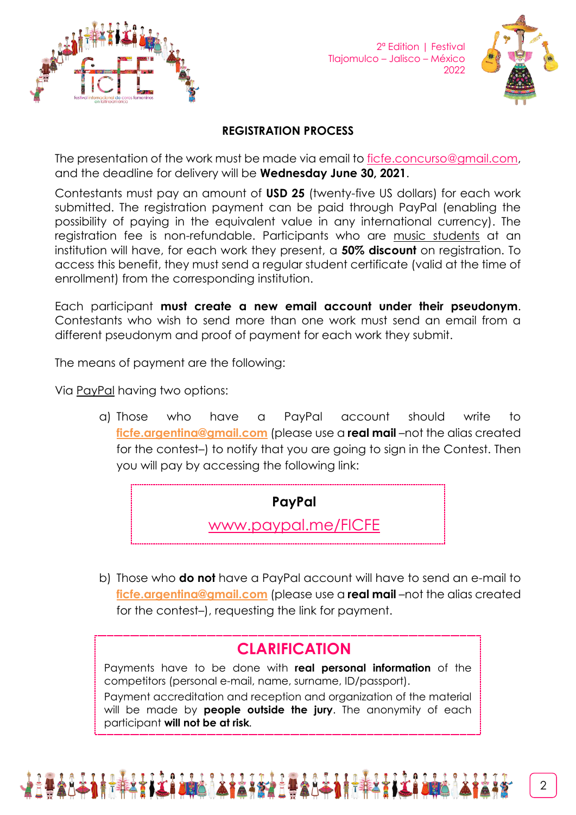

2ª Edition | Festival Tlajomulco – Jalisco – México 2022



### **REGISTRATION PROCESS**

The presentation of the work must be made via email to [ficfe.concurso@gmail.com,](mailto:ficfe.concurso@gmail.com) and the deadline for delivery will be **Wednesday June 30, 2021**.

Contestants must pay an amount of **USD 25** (twenty-five US dollars) for each work submitted. The registration payment can be paid through PayPal (enabling the possibility of paying in the equivalent value in any international currency). The registration fee is non-refundable. Participants who are music students at an institution will have, for each work they present, a **50% discount** on registration. To access this benefit, they must send a regular student certificate (valid at the time of enrollment) from the corresponding institution.

Each participant **must create a new email account under their pseudonym**. Contestants who wish to send more than one work must send an email from a different pseudonym and proof of payment for each work they submit.

The means of payment are the following:

Via PayPal having two options:

a) Those who have a PayPal account should write to **[ficfe.argentina@gmail.com](mailto:ficfe.argentina@gmail.com)** (please use a **real mail** –not the alias created for the contest–) to notify that you are going to sign in the Contest. Then you will pay by accessing the following link:

**PayPal**

[www.paypal.me/FICFE](http://www.paypal.me/FICFE)

b) Those who **do not** have a PayPal account will have to send an e-mail to **[ficfe.argentina@gmail.com](mailto:ficfe.argentina@gmail.com)** (please use a **real mail** –not the alias created for the contest–), requesting the link for payment.

# **CLARIFICATION**

Payments have to be done with **real personal information** of the competitors (personal e-mail, name, surname, ID/passport).

Payment accreditation and reception and organization of the material will be made by **people outside the jury**. The anonymity of each participant **will not be at risk***.*

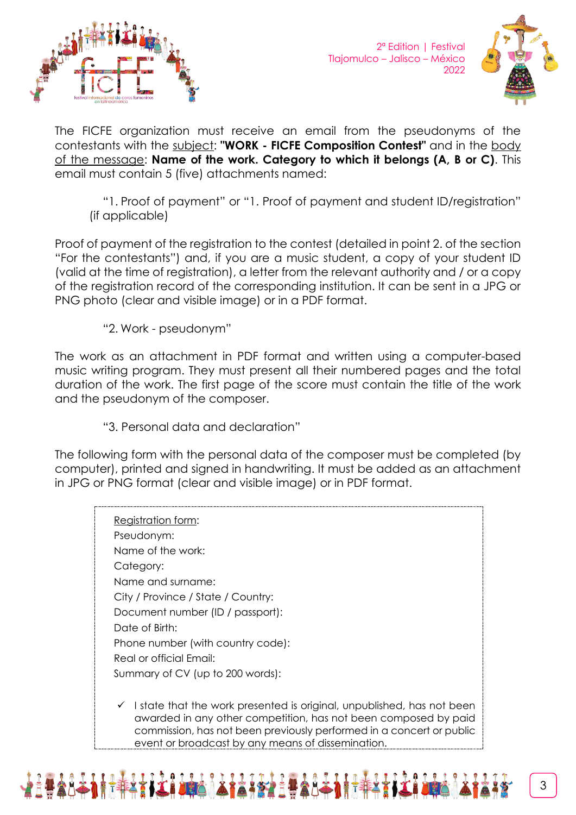



The FICFE organization must receive an email from the pseudonyms of the contestants with the subject: **"WORK - FICFE Composition Contest"** and in the body of the message: **Name of the work. Category to which it belongs (A, B or C)**. This email must contain 5 (five) attachments named:

"1. Proof of payment" or "1. Proof of payment and student ID/registration" (if applicable)

Proof of payment of the registration to the contest (detailed in point 2. of the section "For the contestants") and, if you are a music student, a copy of your student ID (valid at the time of registration), a letter from the relevant authority and / or a copy of the registration record of the corresponding institution. It can be sent in a JPG or PNG photo (clear and visible image) or in a PDF format.

"2. Work - pseudonym"

The work as an attachment in PDF format and written using a computer-based music writing program. They must present all their numbered pages and the total duration of the work. The first page of the score must contain the title of the work and the pseudonym of the composer.

"3. Personal data and declaration"

The following form with the personal data of the composer must be completed (by computer), printed and signed in handwriting. It must be added as an attachment in JPG or PNG format (clear and visible image) or in PDF format.

Registration form: Pseudonym: Name of the work: Category: Name and surname: City / Province / State / Country: Document number (ID / passport): Date of Birth: Phone number (with country code): Real or official Email: Summary of CV (up to 200 words):  $\checkmark$  I state that the work presented is original, unpublished, has not been awarded in any other competition, has not been composed by paid commission, has not been previously performed in a concert or public



event or broadcast by any means of dissemination.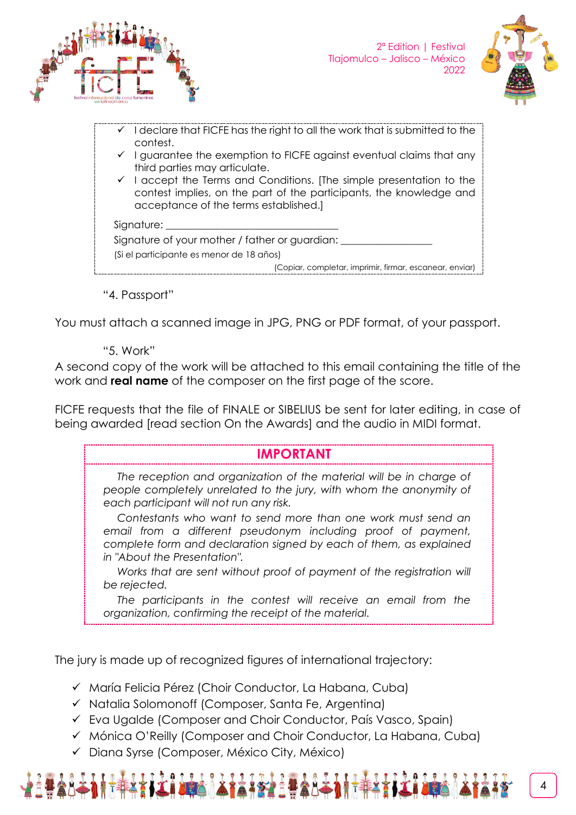



- $\checkmark$  I declare that FICFE has the right to all the work that is submitted to the contest.
- $\checkmark$  I guarantee the exemption to FICFE against eventual claims that any third parties may articulate.
- $\checkmark$  I accept the Terms and Conditions. [The simple presentation to the contest implies, on the part of the participants, the knowledge and acceptance of the terms established.]

Signature:

Signature of your mother / father or guardian: (Si el participante es menor de 18 años)

(Copiar, completar, imprimir, firmar, escanear, enviar)

"4. Passport"

You must attach a scanned image in JPG, PNG or PDF format, of your passport.

"5. Work"

A second copy of the work will be attached to this email containing the title of the work and **real name** of the composer on the first page of the score.

FICFE requests that the file of FINALE or SIBELIUS be sent for later editing, in case of being awarded [read section On the Awards] and the audio in MIDI format.

# **IMPORTANT**

*The reception and organization of the material will be in charge of people completely unrelated to the jury, with whom the anonymity of each participant will not run any risk.*

*Contestants who want to send more than one work must send an email from a different pseudonym including proof of payment, complete form and declaration signed by each of them, as explained in "About the Presentation".*

*Works that are sent without proof of payment of the registration will be rejected.*

*The participants in the contest will receive an email from the organization, confirming the receipt of the material.*

The jury is made up of recognized figures of international trajectory:

✓ María Felicia Pérez (Choir Conductor, La Habana, Cuba)

- ✓ Natalia Solomonoff (Composer, Santa Fe, Argentina)
- ✓ Eva Ugalde (Composer and Choir Conductor, País Vasco, Spain)
- ✓ Mónica O'Reilly (Composer and Choir Conductor, La Habana, Cuba)
- ✓ Diana Syrse (Composer, México City, México)